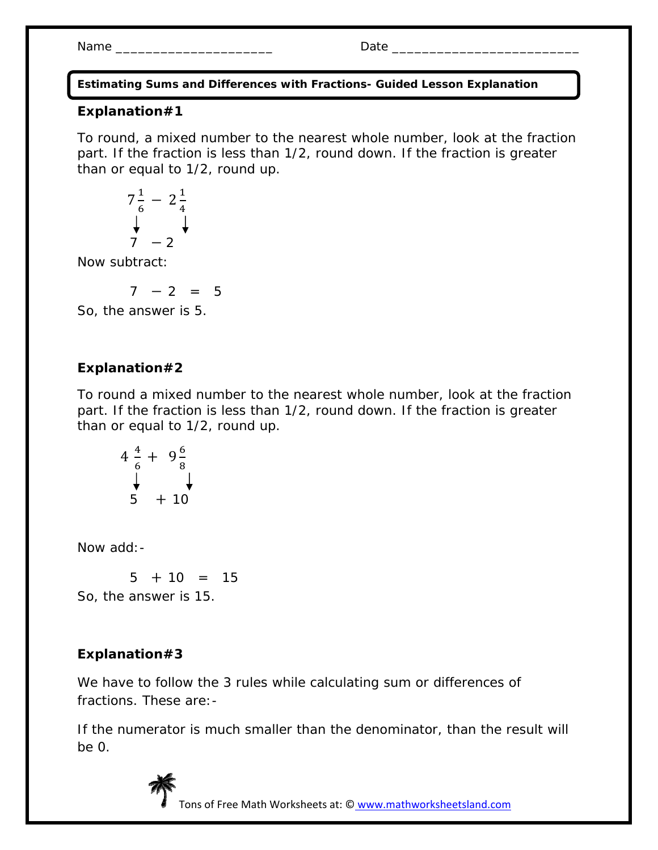Name \_\_\_\_\_\_\_\_\_\_\_\_\_\_\_\_\_\_\_\_\_ Date \_\_\_\_\_\_\_\_\_\_\_\_\_\_\_\_\_\_\_\_\_\_\_\_\_

**Estimating Sums and Differences with Fractions- Guided Lesson Explanation** 

### **Explanation#1**

To round, a mixed number to the nearest whole number, look at the fraction part. If the fraction is less than 1/2, round down. If the fraction is greater than or equal to 1/2, round up.

$$
\begin{array}{ccc}\n7\frac{1}{6} & -2\frac{1}{4} \\
\downarrow & & \downarrow \\
7 & -2\n\end{array}
$$

Now subtract:

 $7 - 2 = 5$ 

So, the answer is 5.

# **Explanation#2**

To round a mixed number to the nearest whole number, look at the fraction part. If the fraction is less than 1/2, round down. If the fraction is greater than or equal to 1/2, round up.

$$
\begin{array}{r}\n4 \frac{4}{6} + 9 \frac{6}{8} \\
\downarrow \quad \downarrow \quad \downarrow \\
5 + 10\n\end{array}
$$

Now add:-

 $5 + 10 = 15$ So, the answer is 15.

## **Explanation#3**

We have to follow the 3 rules while calculating sum or differences of fractions. These are:-

If the numerator is much smaller than the denominator, than the result will be 0.



Tons of Free Math Worksheets at: © www.mathworksheetsland.com